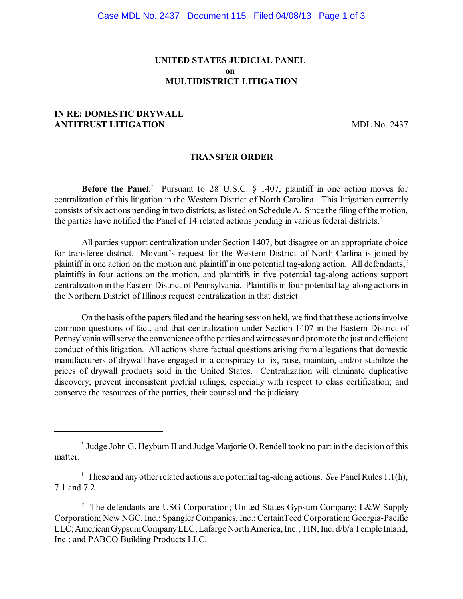# **UNITED STATES JUDICIAL PANEL on MULTIDISTRICT LITIGATION**

## **IN RE: DOMESTIC DRYWALL ANTITRUST LITIGATION** MDL No. 2437

#### **TRANSFER ORDER**

**Before the Panel:** Pursuant to 28 U.S.C. § 1407, plaintiff in one action moves for centralization of this litigation in the Western District of North Carolina. This litigation currently consists of six actions pending in two districts, as listed on Schedule A. Since the filing of the motion, the parties have notified the Panel of 14 related actions pending in various federal districts. 1

All parties support centralization under Section 1407, but disagree on an appropriate choice for transferee district. Movant's request for the Western District of North Carlina is joined by plaintiff in one action on the motion and plaintiff in one potential tag-along action. All defendants,<sup>2</sup> plaintiffs in four actions on the motion, and plaintiffs in five potential tag-along actions support centralization in the Eastern District of Pennsylvania. Plaintiffs in four potential tag-along actionsin the Northern District of Illinois request centralization in that district.

On the basis of the papers filed and the hearing session held, we find that these actions involve common questions of fact, and that centralization under Section 1407 in the Eastern District of Pennsylvania willserve the convenience ofthe parties and witnesses and promote the just and efficient conduct of this litigation. All actions share factual questions arising from allegations that domestic manufacturers of drywall have engaged in a conspiracy to fix, raise, maintain, and/or stabilize the prices of drywall products sold in the United States. Centralization will eliminate duplicative discovery; prevent inconsistent pretrial rulings, especially with respect to class certification; and conserve the resources of the parties, their counsel and the judiciary.

Judge John G. Heyburn II and Judge Marjorie O. Rendell took no part in the decision of this \* matter.

 $\frac{1}{1}$  These and any other related actions are potential tag-along actions. *See* Panel Rules 1.1(h), 7.1 and 7.2.

<sup>&</sup>lt;sup>2</sup> The defendants are USG Corporation; United States Gypsum Company; L&W Supply Corporation; New NGC, Inc.; Spangler Companies, Inc.; CertainTeed Corporation; Georgia-Pacific LLC; American Gypsum Company LLC; Lafarge North America, Inc.; TIN, Inc. d/b/a Temple Inland, Inc.; and PABCO Building Products LLC.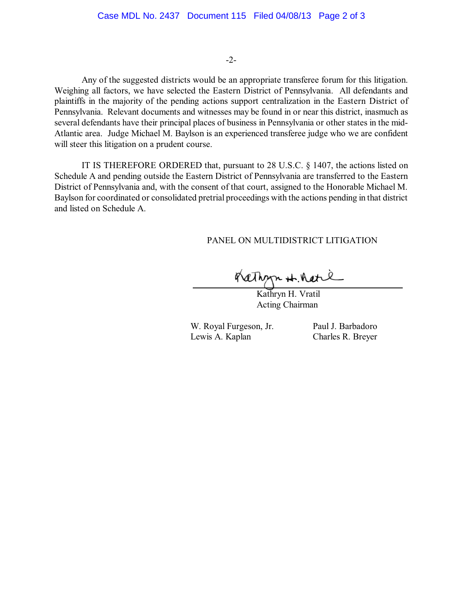#### -2-

Any of the suggested districts would be an appropriate transferee forum for this litigation. Weighing all factors, we have selected the Eastern District of Pennsylvania. All defendants and plaintiffs in the majority of the pending actions support centralization in the Eastern District of Pennsylvania. Relevant documents and witnesses may be found in or near this district, inasmuch as several defendants have their principal places of business in Pennsylvania or other states in the mid-Atlantic area. Judge Michael M. Baylson is an experienced transferee judge who we are confident will steer this litigation on a prudent course.

IT IS THEREFORE ORDERED that, pursuant to 28 U.S.C. § 1407, the actions listed on Schedule A and pending outside the Eastern District of Pennsylvania are transferred to the Eastern District of Pennsylvania and, with the consent of that court, assigned to the Honorable Michael M. Baylson for coordinated or consolidated pretrial proceedings with the actions pending in that district and listed on Schedule A.

### PANEL ON MULTIDISTRICT LITIGATION

Rathyn H. Ratie

Kathryn H. Vratil Acting Chairman

W. Royal Furgeson, Jr. Paul J. Barbadoro Lewis A. Kaplan Charles R. Breyer